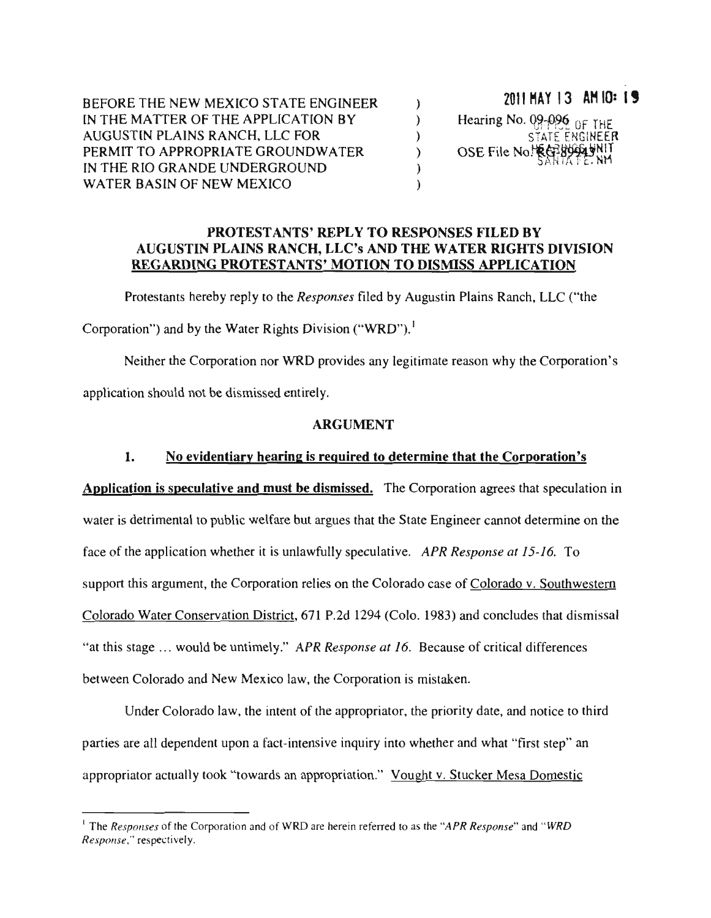2011 HAY 13 AM 10: 19 BEFORE THE NEW MEXICO STATE ENGINEER  $\lambda$ Hearing No. 09-096 OF THE IN THE MATTER OF THE APPLICATION BY  $\lambda$ AUGUSTIN PLAINS RANCH, LLC FOR  $\lambda$ STATE ENGINEER OSE File No. REB99949NIT PERMIT TO APPROPRIATE GROUNDWATER  $\lambda$ IN THE RIO GRANDE UNDERGROUND  $\mathcal{E}$ WATER BASIN OF NEW MEXICO  $\lambda$ 

## **PROTESTANTS' REPLY TO RESPONSES FILED BY** AUGUSTIN PLAINS RANCH, LLC's AND THE WATER RIGHTS DIVISION REGARDING PROTESTANTS' MOTION TO DISMISS APPLICATION

nts hereby reply to the *Responses* filed by Augustin Plains Ranch,<br>ad by the Water Rights Division ("WRD").<sup>1</sup>  $\frac{1}{2}$ ply to <mark>t</mark><br>ater Rig

 $WRD^n$ Re<br>D .<br>. pte<br>Prima<br>Prima  $\infty$ Response."

ne<br>tic rp iate reason why the<br> eg puides a  $\sum$ ire<br>...  $\frac{1}{2}$  and  $\frac{1}{2}$  are  $\frac{1}{2}$  and  $\frac{1}{2}$  are  $\frac{1}{2}$  are  $\frac{1}{2}$  are  $\frac{1}{2}$  are  $\frac{1}{2}$  are  $\frac{1}{2}$  are  $\frac{1}{2}$  are  $\frac{1}{2}$  are  $\frac{1}{2}$  are  $\frac{1}{2}$  are  $\frac{1}{2}$  are  $\frac{1}{2}$  are  $\frac{1}{2}$  a smissed ic  $\mathfrak{b}$ dependent and<br>a should  $\ddot{\phantom{0}}$ r r<br>I respectisely.

## **ARGUMENT**

### e<br>ha tic<br>C ENT<br>d to det u<br>upon i<br>Dis dentiary hear<br>ative and mu <u>lit</u>  $\mathbf{1}$ . a

the Rights and the Corporation steel in the Corporation of the Rights normalism.  $\mathop{\mathrm{Br}}\nolimits$  be  $\mathop{\mathrm{Br}}\nolimits$  $\mathbf{a}$ est<br>mi mat spec provides on a gase and are state ingineer cannot determined<br>intervalsion whether it is unlawfully speculative. APR Response at 15-16. of <u>Colorado v. Sou</u> at<br>rei ar<br> $se$ <br>or State Engine ar<br>e olorado and New Mexico law, the Corporation is mistaken.  $P$  $\overline{a}$ 12<br>ec<br>is the ervation District, 671 P.2d 1294 (Co  $\frac{1}{2}$ ni is u.<br>nat ی.<br>e<br>oo d be untimely." APR Response qu<br>mi ic welfare but argue  $\frac{1}{2}$ on is speculative and must be n<br>Te upport this argument, the Corpora law, the<br>Co nt<br>. of ater is detrimental to p appropriation<br>and the control of the control of the control of the control of the control of the control of the control of t<br>and the control of the control of the control of the control of the control of the control of the <mark>pe</mark><br>nt: into Valence Colorado Water C  $\frac{1}{\sqrt{1-\frac{1}{n}}}\cos\theta$  where  $\frac{1}{n}$  where  $\frac{1}{n}$ etr<br>: a<br>is of w.<br>P lc as  $\mathfrak{p}$ 

do law, the intent of the appropriator, the priority date, and notice nt upon a fact-intensive inquiry into whether and what "first step  $ne$ n'<br>an<br>itu  $\frac{1}{\sqrt{2}}$ to<br><u>/c</u> ppropriator actually took "towards an appropriation C<br>a pr<br>Pr of<br>co a<br>P ac<br>ds  $\ddot{\phantom{0}}$  $\mathsf{d}$ arties are all dene Mesa a<br>or el<br>E

this is a control of the control of the control of the control of the control of the control of the control of the control of the control of the control of the control of the control of the control of the control of the co

to as the Response," respectively.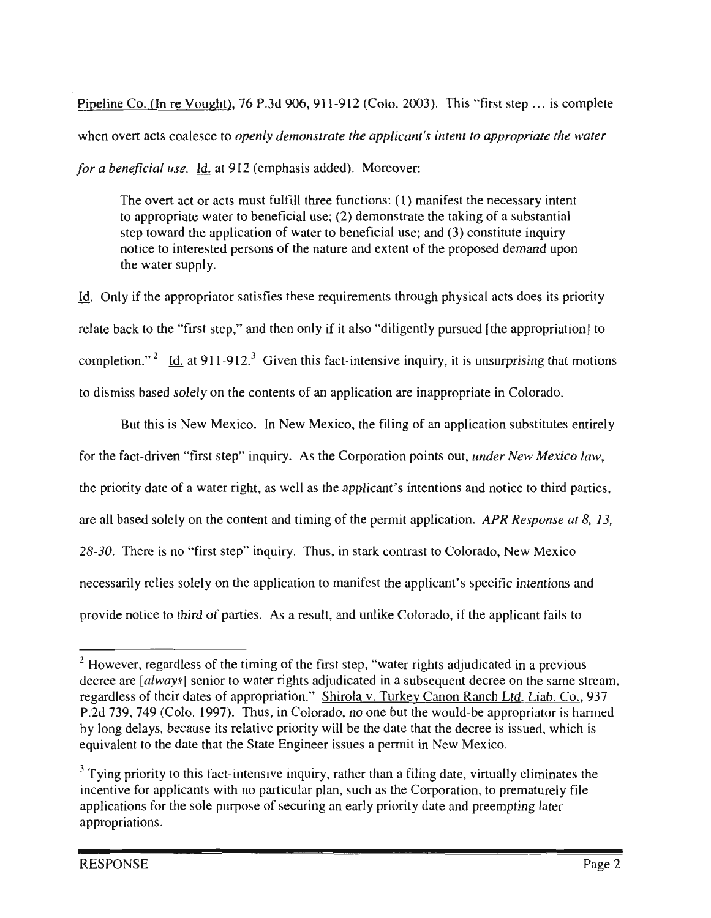Pipeline Co. (In re Vought), 76 P.3d 906, 911-912 (Colo. 2003). This "first step  $\ldots$  is complete when overt acts coalesce to *openly demonstrate the applicant's intent to appropriate the water* for a beneficial use. Id. at 912 (emphasis added). Moreover:

The overt act or acts must fulfill three functions: (1) manifest the necessary intent to appropriate water to beneficial use; (2) demonstrate the taking of a substantial step toward the application of water to beneficial use; and (3) constitute inquiry notice to interested persons of the nature and extent of the proposed demand upon the water supply.

at motions relation in the area is fiest these requirements through physical acts does its prioribal first step," and then only if it also "diligently pursued [the appropriation]  $\text{the approximation}$ ts<br>ria at iry, it is unsurprisi priate in Colo the privator satisfies these requirements through physocal state and then only if it also "diligently pursure is<br>Su  $\left[1-912\right]$ . Given this fact-intensive inquir<br>n the contents of an application are inap  $\frac{8}{10}$ <sup>i</sup>c th  $\frac{1}{2}$ at 911-912<br>blelv on the li<br>.  $\int$  cobels date to be the top date to the top date to the top date to the top date to the top date to the top date to the top date to the top date to the top date to the top date to the top date to the top date to the to lar<br>Fir f the approximate  $\frac{1}{2}$ .<br>Li the  $\mathfrak{p}$ ."  $\frac{1}{1}$  is ba  $\frac{1}{10}$  $\ddot{\cdot}$ )n<br>e b ic<br>i m . (<br>lat<br>m

plication substitutes entir<br>  $\overline{\mathbf{u}}$ notice to third parti esponse at 8,  $\frac{1}{2}$ "<br>"digently"<br>"digently" te:<br>xi kik<br>-<br>Dn and unlike Colorado, if the applicant fails  $\frac{1}{t}$ an w<br>nte ico, the filing of an application:<br>Corporation points out, *unde* New  $P<sub>1</sub>$ of n,<br>se dication olc<br>'s<br>:c  $\overline{a}$ .<br>he filing of a incorporation intent<br>of the permit applice  $\alpha$ <br>e applic<br>Colora the content and timing of the permit<br>rst step" inquiry. Thus, in stark cont Thus, in stark cont<br>on to manifest the relies solely on the application to manifes n<br>n s New Mexico. In New Mexi  $A$ la re:<br>. the interest water Thus, relative the theorem is the theorem to the the three continuous continuous continuous<br>the continuous continuous continuous continuous continuous continuous continuous continuous continuous continuo ater right, first step. ne a<sub>l</sub><br>rties ين<br>ep'<br>the ste<br>er<br>e "first st  $\int$ ر<br>b third o priority date of a<br>Il based solely of But this is<br>ne fact-driven re is no t<br>d<br>d a filing **P** i<mark>ori</mark>t<br>I has plan, and the control of the control in the control of the control in the control in the control in the control in the control in the control in the control in the control in the control in the control in the control in th such as  $\frac{1}{\sqrt{2}}$ early sse<br>ide

 $\overline{a}$ 

 $\frac{\text{mean}}{227}$ ates or appropriation. Shirola v. Turkey Canon Ranch Ltd. Ltdb. Co., 93<br>b. 1997). Thus, in Colorado, no one but the would-be appropriator is harm<br>ause its relative priority will be the date that the decree is issued, which is<br>he de notice to thind of parties. As a result, and unlike Colorado, if the applicant rans<br>
vever, regardless of the timing of the first step, "water rights adjudicated in a previet of the New date, and the New date, and the N un<br><u>. C</u><br>r is<br>wh ina<br>ith<br>I ue<br>.. ate<br>ree<br>an  $\frac{1}{13}$ [always] senior to water rights adjudicated in a subsequent of their dates of appropriation." Shirola v. Turkey Canon R<br>
149 (Colo. 1997). Thus, in Colorado, no one but the would-Thus, in Colorado, no one but the would-<br>Its relative priority will be the date that the deav<br>ht ed<br>comported to ate<br>Tm Colorado, ill<br>is:<br>ra if  $\frac{1}{\sqrt{2}}$ ess of the timi<br>senior to wat<br>lates of appro<br>0. 1997). Thu t the St —<br>ni cs<br>19<br>se<br>th au<br>ite ay<br>io<br>pr —<br>vei<br>ire to 9,<br>de<br>pr predicted<br>preferred<br>predicted

that the state Engineer issues a permit in New Mexico.<br>fact-intensive inquiry, rather than a filing date, virtually eliminat<br>s with no particular plan, such as the Corporation, to prematurely l<br>. hi<br>ar priority to this fact-intensive inquiry, rather than a<br>e for applicants with no particular plan, such as the a rinng date, virtually chimidate<br>the Corporation, to prematurely<br>prity date and preempting later s with no particular plan, such as the Corporation<br>le purpose of securing an early priority date and n applical<br>c for the se appropriations.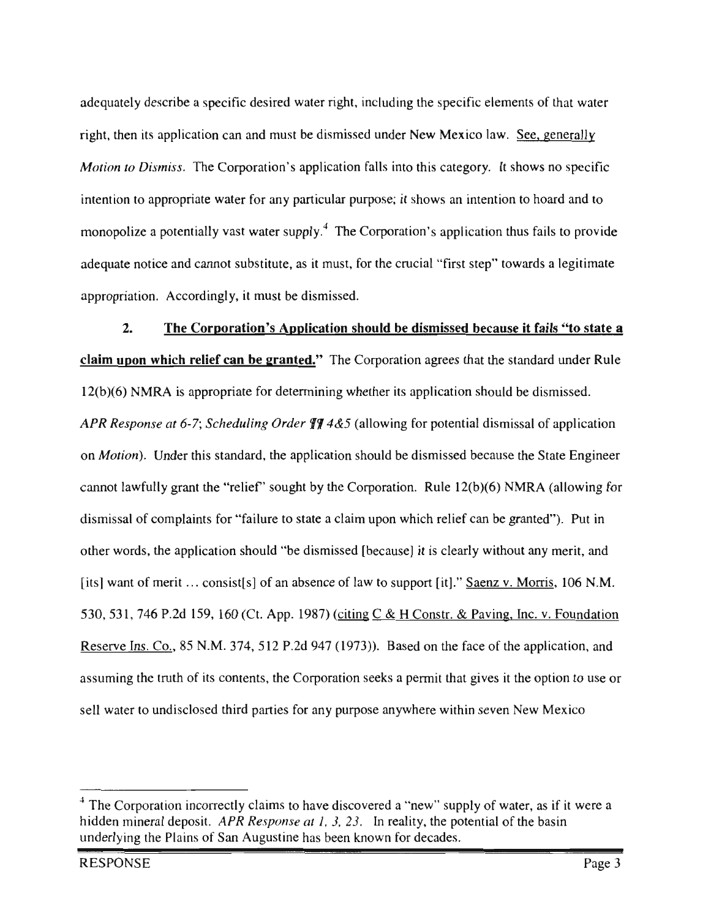adequately describe a specific desired water right, including the specific elements of that water right, then its application can and must be dismissed under New Mexico law. See, generally *Motion to Dismiss.* The Corporation's application falls into this category. It shows no specific intention to appropriate water for any particular purpose; it shows an intention to hoard and to monopolize a potentially vast water supply.<sup>4</sup> The Corporation's application thus fails to provide adequate notice and cannot substitute, as it must, for the crucial "first step" towards a legitimate

appropriation. Accordingly, it must be dismiss<br>2. The Corporation's Application lingly, it must be dismissed.<br> **Interpretention is Application shot**<br>  $\vec{r}$  $rac{b}{c}$  $\frac{a}{b}$ era<br>and the set of the set of the set of the set of the set of the set of the set of the set of the set of the set of the set of the set of the set of the set of the set of the set of the set of the set of the set of the s bs<br>
and<br>
and<br>
in the set of the set of the set of the set of the set of the set of the set of the set of the set of the set of the set of the set of the set of the set of the set of the set of the set of the set of the set s<mark>missed beca</mark><br>agrees that the  $2.$  $rac{p_1}{p_2}$ <u>'s "to sta</u> <u>clai</u>  $\mathbf{granted."}$  Th n ief can of The standard under I<br>build be dismissed. ati<br>its nd<br>ore<br>Sc merican extensive the print<br>ate for determining u<br>or  $\overline{\phantom{a}}$ the  $12($ pli etl<br>all  $R_i$ .<br>he potential dismissal of ap cat<br>gi luling  $Order$ Order  $\sqrt[4]{4}$ <br>the application of is<br>au ig<br>S potential distribution of ap-San  $Motion$ ). Under this stands te Engineer  $\frac{1}{2}$  factor  $\frac{1}{2}$ on *Motion*). Under this standa<br>cannot lawfully grant the "reli must<br>must sought by the Corporatio Rule 12(b)(6) NMRA (all<br>h relief can be granted"). 1R<br>an<br>. nng<br>ti<br>ar Imissal of complaints for "failure to state a claim upon which relief can be granted").<br>Ther words, the application should "be dismissed [because] it is clearly without any me<br>sl want of merit ... consist[s] of an absence state a claim upon which "f<br>Csl dismissal of complaints u<br>be  $\ddot{\phantom{0}}$  $\overline{0}$ u<br>vi  $\frac{1}{10}$  meth,  $\frac{1}{10}$ rt |<br><u>ons</u> of law to support [it]." **Saenz**<br>(citing C & H Constr. & Pavin , 1<br><u>Fc</u> [its] want of merit  $\dots$  consist[s] of an absence of  $\frac{9}{10}$  $\mathbf{A}$  $530, 50$ 1987) (citing  $C & H$  Constr. & Paving, Inc. v. Founda permit  $\frac{1}{2}$  or  $\frac{1}{2}$  the reserve Ins. Co., 85 N.M. 374 and the face of the application point that gives it the  $\overline{f}$ for dismissed and the contract of the contract of the contract of the contract of the contract of the contract of the contract of the contract of the contract of the contract of the contract of the contract of the contract of  $\mathbf{d}$  $\frac{R}{2}$ on <sub>ca</sub>  $(1973)$ ). Bas suming the truth of its<br>with supply  $\frac{1}{2}$ the <sub>r</sub>, the  $\overline{\text{Co}}$ mit that gives it the option Saenz the sectors a permit that gives it the option<br>se anywhere within seven New Mex  $\frac{a}{2}$ ne<br>. orporation<br>or any p because ater to undisclosed third partion ze .<br>..  $\mathfrak{a}$  water,  $\mathfrak{a}$  $\ddot{\phantom{0}}$ 

to

Mexico

granted").

bely of water, as if it were<br>bential of the basin Corporation incorrectly claims to have discovered a "new" supply of water, as if is<br>n mineral deposit. APR Response at 1, 3, 23. In reality, the potential of the basin (allowing internal contractly claims to have discovered a "new"<br>
n mineral denotify ABB Beanches at  $l = 2.32$ . In reality, the ha<br>ai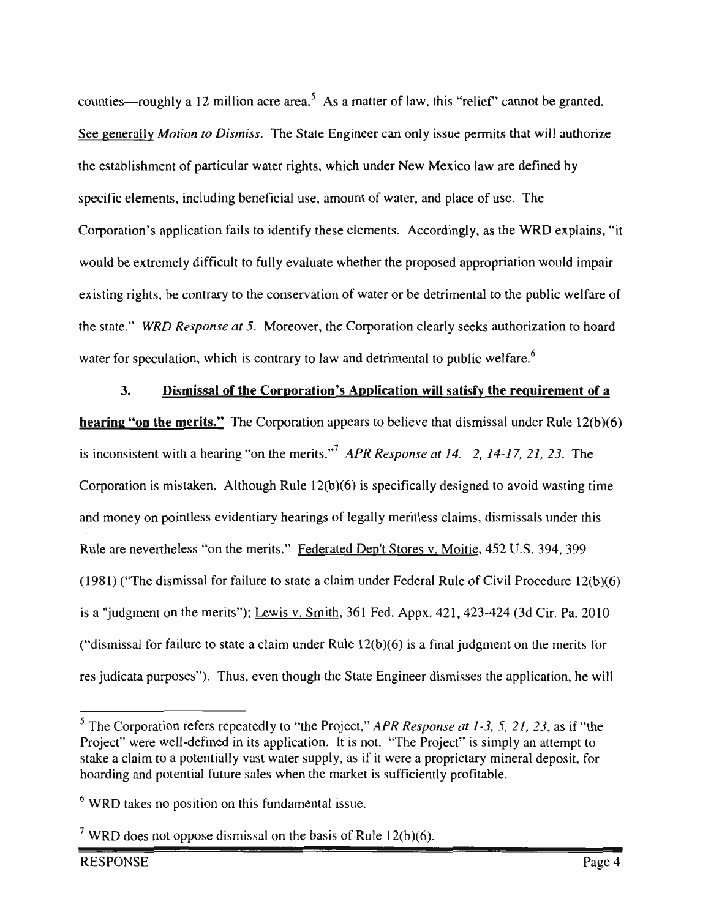counties—roughly a 12 million acre area.<sup>5</sup> As a matter of law, this "relief" cannot be granted. See generally Motion to Dismiss. The State Engineer can only issue permits that will authorize the establishment of particular water rights, which under New Mexico law are defined by specific elements, including beneficial use, amount of water, and place of use. The Corporation's application fails to identify these elements. Accordingly, as the WRD explains, "it would be extremely difficult to fully evaluate whether the proposed appropriation would impair the grights, be contrary to the conservation of water or be detrimental to the public welfare.<br>The water of the Corporation clearly seeks authorization to host.<br>The Program of S. Moreover, the Corporation clearly seeks aut existing right<br>the state." W oi<br>10 let:<br>ear to the public welfare<br>authorization to hoa existing ee<br>d  $\int$ the state." WRD Response at 5. Moreover, the Corporation clearly seeks au<br>water for speculation, which is contrary to law and detrimental to public wel poratio a esp:<br>Print<br>Corporation de<br><mark>pl</mark> me<br>me w<sub>.</sub> the to

<mark>qu</mark><br>de <u>tion will satis</u> ill<br>th  $\frac{d}{ds}$ the failure purposes.<br>
In the failure purposes in the *T*<br>
In the *T*<br>
In the *G*<br>
In the *C*<br>
In the *C*<br>
In the *C*<br>
In the *C*<br>
In the *C*<br>
In the *C*<br>
In the *C*<br>
In the *C*<br>
In the *C*<br>
In the *C*<br>
In the *C*<br>
In the potential

**nent of a**<br>ile 12(b)(6) ivil Procedure  $12(b)(6)$  $3.$  The tir<br>nis  $\frac{c}{c}$ <br> $\frac{c}{c}$ f or failure to state a claim under Rule 12(b)(6) is a final judgment on the merits for 424 for 424 iurposes"). Thus, even though the State Engineer dismisses the application, he where ast ıd law  $52$  U.S. 394, 2 ire<br>P  $2(b)(6)$  is a final judgment on the mo  $4 - 17, 2$ oid<br>sal<br>S ro<br>}d he<br>sa to<br>isi  $\frac{1}{2}$  Rule of Civ<br>  $\frac{1}{2}$ <br>  $\frac{1}{2}$ <br>  $\frac{1}{2}$ dismissal reporation appears to believe that dis gi of legally meritless claim  $\frac{1}{2}$  $\frac{1}{16}$  and  $\frac{1}{16}$  and  $\frac{1}{16}$ Rule  $\frac{1}{2}$ ss "on the merits." Federated Dep't Sto legal under Fed. 12(b) A<br>N  $\int$  APR  $\int$ to the merits.  $\frac{1}{2}$  to  $\frac{1}{2}$  to  $\frac{1}{2}$  to  $\frac{1}{2}$  to  $\frac{1}{2}$  to  $\frac{1}{2}$  to  $\frac{1}{2}$  to  $\frac{1}{2}$  to  $\frac{1}{2}$  to  $\frac{1}{2}$  to  $\frac{1}{2}$  to  $\frac{1}{2}$  to  $\frac{1}{2}$  to  $\frac{1}{2}$  to  $\frac{1}{2}$  to  $\frac{1}{2}$  t ill<br>e<u>r</u> wis v. Smith, 361 F rings of<br><sup>Federat</sup> ne merits"); <u>Lewis v. Smith,</u><br>ure to state a claim under Ru rporatio<br>he meri 361  $\frac{1}{2}$  The Corp under the model the though "the supply<br>and money on pointless evidentiary state<br>Sta ...<br>"); e<br>s, Corporation is mista<mark>k</mark>  $\ddot{\mathbf{s}}$ 1-3, isı<br>m in.  $\mathbf{a}$  is variance the vith is<br>.<br>.<br>. Rule are neverthele .<br>dism is a "judgment on t<br>("dismissal for fail). ail  $\frac{1}{n}$  the (1981) ("The di a p<br> i<br>po on ora<br>Iol oppose  $\frac{d}{dx}$ 

5,

ih<br>o<br>or  $5, 21, 23,$  as<br>mply an attem require<br>the<br>direction of the control bentially vast water supply, as if it were a proprietary mitial future sales when the market is sufficiently profitable  $\frac{1}{\sqrt{1-\frac{1}{2}}}$ defined in its application. It is not. "The Project" supply, as if it were a proprieta ation refers repeatedly to "the Project," *APR Resport*<br>well-defined in its application. It is not "The Pro r<br>International<br>International oj<br>It<br>na ea<br>n<br>e s  $\frac{1}{100}$  to a potential an

this fundamental is no posit

<sup>&</sup>lt;sup>7</sup> WRD does not oppose dismissal on the basis of Rule 12(b)(6).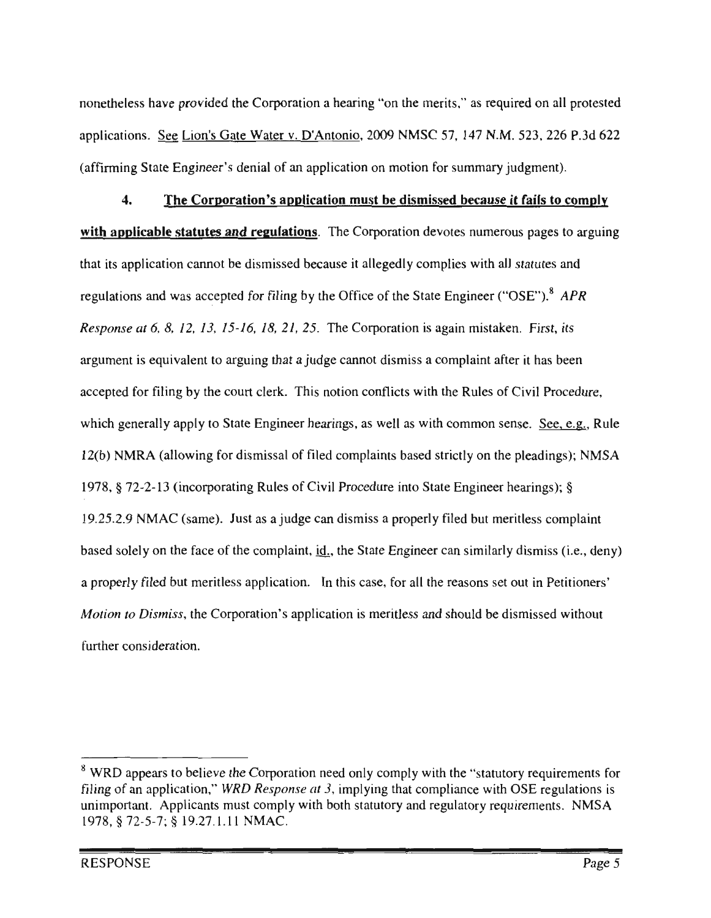nonetheless have provided the Corporation a hearing "on the merits," as required on all protested applications. See Lion's Gate Water v. D'Antonio, 2009 NMSC 57, 147 N.M. 523, 226 P.3d 622 (affirming State Engineer's denial of an application on motion for summary judgment).

The Corporation's application must be dismissed because it fails to comply  $\mathbf{A}$ . with applicable statutes and regulations. The Corporation devotes numerous pages to arguing that its application cannot be dismissed because it allegedly complies with all statutes and gulations and was accepted for filing by the Office of the State Engineer ("OSE").<sup>8</sup> APR<br>esponse at 6, 8, 12, 13, 15-16, 18, 21, 25. The Corporation is again mistaken. First, its lat<br>on<br>me n<br>ti esponse at 6, 8, 12, 13, 15-16, 18, 21, 25. The n mistal<br>plaint a ıe ∘  $\mathop{\rm ord}\nolimits$ consider<br>interface<br>of  $\frac{2}{3}$ zument is for m mention is discussed.<br>This notion co it has be<br>ivil Proc nt<br>d f<br>en Rules of Civi bted for filing by the court clerk. This notion co<br>h generally apply to State Engineer hearings, as cepted for filing by the court clerk. This notion co th<br>vitl<br>d s  $\mathsf{irc}$ omnets<br>is well a .<br>.<br>.<br>. m mmon sense.  $See, e.g.$ , Rule</u> r r<br>f f<br>f C NMRA (allowing for dismissal of filed complaints based strictly on the pleadings); NM di<br>in (b) NMKA (allowing for distinssal of filed complaint<br>78, § 72-2-13 (incorporating Rules of Civil Proced<br>25.2.9 NMAC (same). Just as a judge can dismiss ed<br>1<br>P -2.<br> $\sqrt{N}$ tate Engineer hearings); a ju<br>er notion. 2.9 NMAC (same). Just as a judge can dismiss a properly filed but meritles<br>solely on the face of the complaint, id., the State Engineer can similarly disiess complain  $.2.9$  $\mathbf{y}$ filed  $\mathbf{d}$ y on the face of the complaint, <u>id.,</u> the State Engineer can similar<br>filed but meritless application. In this case, for all the reasons se er<br>he can<br>Can ne<br>dy ner<br>ou pe<br>... set out <mark>i</mark><br>e dismis n.<br>Pl .<br>o Di ion is meritless and should be dismissed w and con<br>complete er consid<br>

rements re<br>E<br>Procedure<br>Procedure on need only comply with the "statu<br>e.  $at\,3$ , implying that compliance with<br>vith both statutory and regulatory rea of an application," WRD Response at 3, implying that compliance with portant. Applicants must comply with both statutory and regulatory req  $\S$  72-5-7;  $\S$  19.27.1.11 NMAC. with the  $\cdot$ § appears to believe the Corporation need only completed an application," WRD Response at 3, implying that tant. Applicants must comply with both statutory and ed<br>ir<br>btl rea<br>|<br>|<br>|<br>|<br>|  $72 - 5$  $\frac{1}{10}$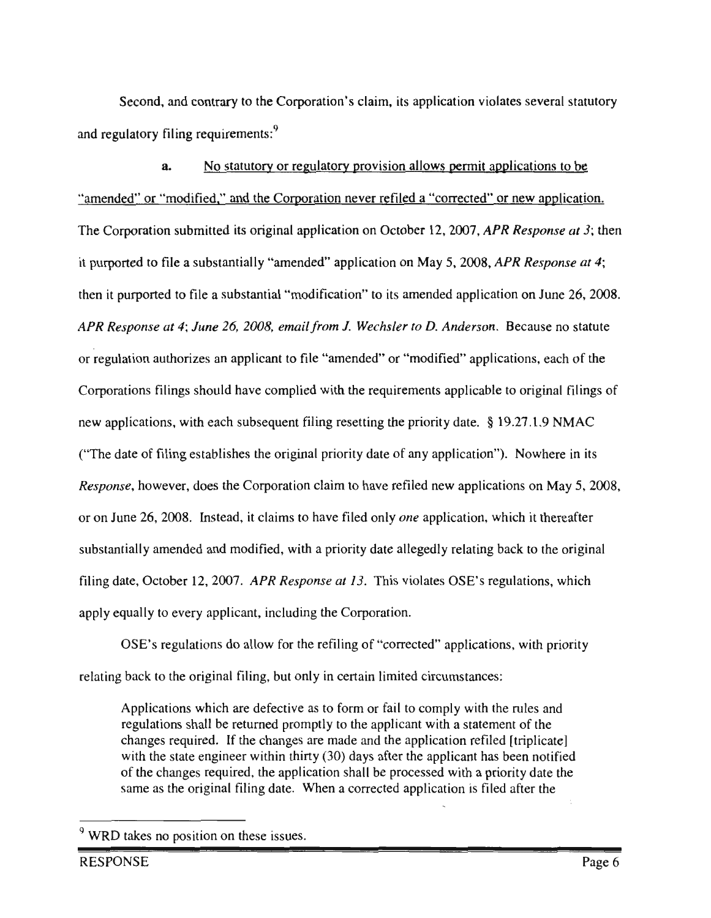Second, and contrary to the Corporation's claim, its application violates several statutory and regulatory filing requirements:<sup>9</sup>

No statutory or regulatory provision allows permit applications to be  $\mathbf{a}$ "amended" or "modified," and the Corporation never refiled a "corrected" or new application. The Corporation submitted its original application on October 12, 2007, APR Response at 3; then it purported to file a substantially "amended" application on May 5, 2008, APR Response at 4; hen it purported to file a substantial "modification" to its amended application on June 26, 20<br>APR Response at 4; June 26, 2008, email from J. Wechsler to D. Anderson. Because no statut ' to<br>*ec* on<br>cat regulation<br>The i.<br>ic: tu<br>th oonse at 4; June 26, 2008, email from J. Wechsler to D. Ander<br>tion authorizes an annlicant to file "amended" or "modified" a  $u_1 + u_2$ <br>uthorize  $\frac{4}{5}$ <br>S a zooo, e<br>balicant takes  $\ddot{\phantom{a}}$ mended" or "modified" a<br>h the requirements appli <sup>u</sup> n r<br>T e<br>re n annexed.<br>Is filings sh<br>Itions, with <sub>.</sub><br>tiginal filings a<br>authorizes<br>authorizes ements applie on<br>au Corporation ave complied  $\mathbf{e}$ rs<br>lic th each sul este<br>date<br>date filing resetting the priorit<br>nal priority date of any ap  $19.27.1.9$  NMAC eng<br>engine<br>the The date of filing establishes the  $\alpha$ da<br>na f any application"). Nowhere<br>efiled new applications on May a<sub>l</sub><br>
ne  $\frac{1}{2}$ the date of thing established and the control of the control of the Response, however, does only date or any application y. 110.<br>In to have refiled new applications of filed only *one* application, which it in<br>io Corpor ap<sub>l</sub><br>utio erection  $\frac{26}{10}$  $\frac{1}{2}$  with  $\frac{1}{2}$  or  $\frac{1}{2}$  or  $\frac{1}{2}$  or  $\frac{1}{2}$  or  $\frac{1}{2}$  or  $\frac{1}{2}$  or  $\frac{1}{2}$  or  $\frac{1}{2}$  or  $\frac{1}{2}$  or  $\frac{1}{2}$  or  $\frac{1}{2}$  or  $\frac{1}{2}$  or  $\frac{1}{2}$  or  $\frac{1}{2}$  or  $\frac{1}{2}$  or  $\frac{1}{2}$  o  $2008.1$ eman<br>F istead, it clair to which it there  $\frac{1}{2}$ dly relating back to the original ed. mended and modern to match  $\frac{12}{3007}$ o<br>wi  $\eta$  date all io ally a riority date allegedly relating b<br>*at 13*. This violates OSE's reg li<br>po<br>ins  $e$ tober 12, 2007.  $APR_A$ Wechsler tober 12, 2007. APR Response at 13. This v<br>to every applicant, including the Corporation tıc<br>vit Octo<br>. :<br>corrected<br>corrected lly<br>E'

ic<br>" back to the original filing, but only in certain limited circumstances:<br>Applications which are defective as to form or fail to comply with the rule: exprese Corporation.<br>iling of "corrected" application ginal filing, but only in certain limited circumstances: pli<br>st:<br>7 v rre<br>ite b<br>fec circumstances<br>Circumstances<br>Circumstances ation ev<br>gu re<br>io back lua<br>lar

d<br>te] applicant has been notifies<br>sed with a priority date the<br>ication is filed after the or fail to comply with the rule<br>
explicant with a statement of<br>
explication refiled [trip<br>
the applicant has been ired. If the changes are made and the application refiled [trip]<br>e engineer within thirty (30) days after the applicant has been filed after sı<br>n<br>شهر *ication* irc<br>on<br>wi ited. If the changes are made and the applicant r<br>ro<br>l a ll l<br>rre regulations<br>regulations<br>to hin thirty (30)<br>le application<br>date. When a ll<br>:d or<br>.<br>. egulations<br>hanges rec<br>vith the sta<br>of the chang Applicat<br>egulation he

<sup>&</sup>lt;sup>9</sup> WRD takes no position on these issues.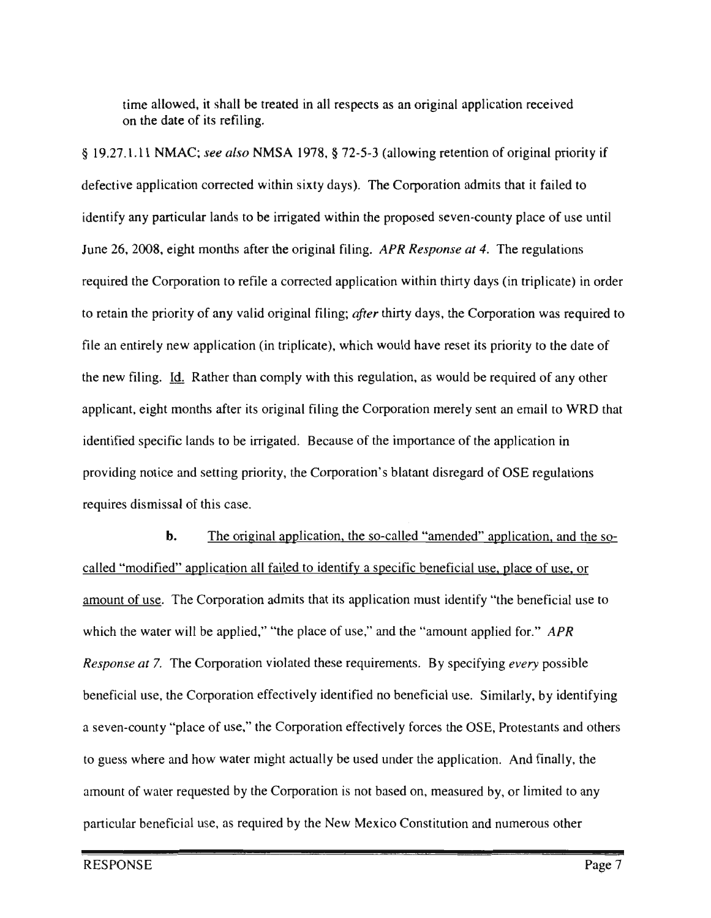time allowed, it shall be treated in all respects as an original application received on the date of its refiling.

§ 19.27.1.11 NMAC; see also NMSA 1978, § 72-5-3 (allowing retention of original priority if defective application corrected within sixty days). The Corporation admits that it failed to identify any particular lands to be irrigated within the proposed seven-county place of use until June 26, 2008, eight months after the original filing. APR Response at 4. The regulations required the Corporation to refile a corrected application within thirty days (in triplicate) in order applicant the priority of any valid original filing; *after* thirty days, the Corporat ny<br>. identified<br>Separate<br>Separate iy<br>ve was required  $\mathbf{r}$ hi<br>s entity to the dentity for the density of  $\frac{1}{2}$ entirely new application of h<br>l, i  $\mathbf f$  $\frac{e}{e}$ e, which would have reset its priority to the date of<br>ith this regulation, as would be required of any other س<br>سا  $rac{1}{\epsilon}$ use. . Id. Rather than compl<br>ht months after its origin  $m$ , as would be required. nt, he Corporation<br>e of the impo aft<br>to ht months after its original filing the Corporatio il to WRD th<br>ion in ts<br>irr  $\mathfrak{p}$ ili:<br>}ec<br>~ erery sent an<br>ce of the appl T<sub>he</sub> ed specific lands to be irrigated he importance of the application in<br>'s blatant disregard of OSE regulatio io red<br>ro failed and setting priority, the Corporat<br>dismissal of this case.  $\frac{c}{\sqrt{2}}$ "the of the no<br>
<sub>t</sub>  $rac{a}{b}$ equires dismis the

 $\frac{50}{100}$ of use, or<br>eficial use to in<sub>g</sub><br>nei <u>blace of use, c</u>  $\rq{APR}$ reset<br>fying *every* possib Similarly, by iden  $\frac{dy}{dx}$  required  $\frac{dy}{dx}$  $\ddot{\phantom{a}}$ ited to the contract of the contract of the contract of the contract of the contract of the contract of the contract of the contract of the contract of the contract of the contract of the contract of the contract of the contract o of And  $\overline{\text{H}}$ the so-called "amended" applies pia<br>e<br>d example.<br>
Frequency "place of use," the Corporation effectively forces the OSE, Pro<br>
subere and how water might actually be used under the application. tion is not based on, measured by, or  $\frac{1}{2}$  and  $\frac{1}{2}$  corporation is not based on, inclusion by, on<br>if use, as required by the New Mexico Constitution and num of the different included the identity a specific beneficial use of the Corporation admits that its application must identify identify a specific beneficial unit its application must identify <u>or use</u>. The Corporation admits that its application must identity<br>he water will be applied," "the place of use," and the "amount ap iei<br>efi these requirements. By s ified no beneficial rp<br>ea era<br>cal ın<br>er no<br>ive and is<br>e re and how water might actually be a<br>presented by the Corporation is  $\ddot{\phantom{a}}$ tinal applicati oration effectively is<br>fuse," the Corporat at<br>ıll anion admi le<br>la all<br>on 7. The Corporation<br>e, the Corporation e ie<br><u>iti</u> bo<br>ipi ite www.<br>quested modified" ap<br>of use. The  $\ddot{\text{e}}$  and use, the Co ac<br>h t of wate se ں<br>اد ni<br>Constitution<br>Constitution n<br>an  $\mathbf{s}$ other<br>extensionalist<br>extensionalist<br>extensionalist<br>extensionalist<br>extensionalist<br>extensionalist<br>extensionalist<br>extensionalist<br>extensionalist<br>extensionalist<br>extensionalist<br>extensionalist<br>extensionalist<br>extensionalist<br>extens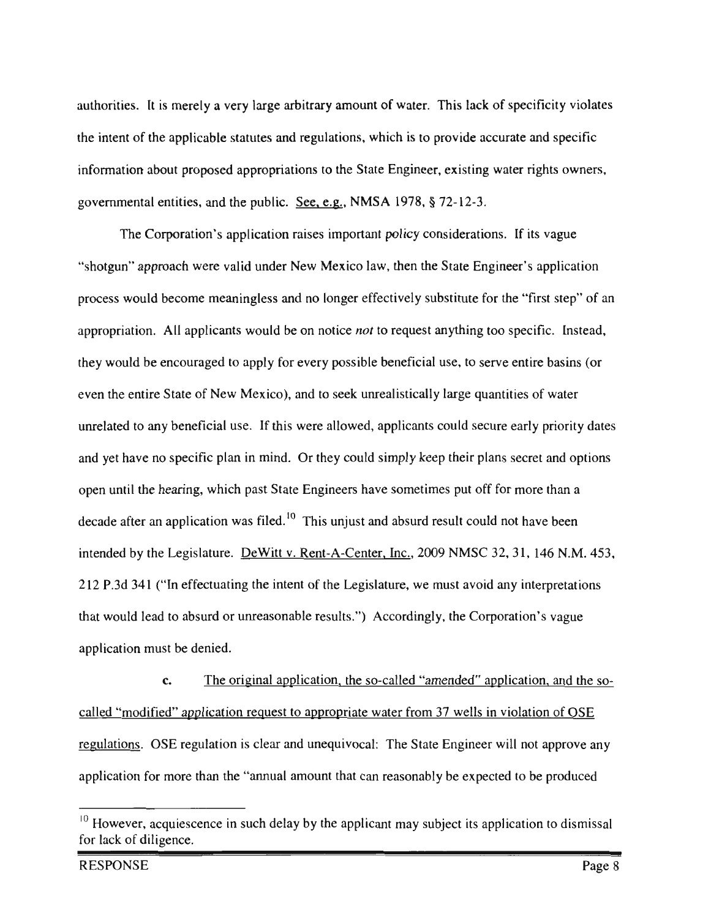authorities. It is merely a very large arbitrary amount of water. This lack of specificity violates the intent of the applicable statutes and regulations, which is to provide accurate and specific information about proposed appropriations to the State Engineer, existing water rights owners, governmental entities, and the public. See, e.g., NMSA 1978, § 72-12-3.

The Corporation's application raises important policy considerations. If its vague "shotgun" approach were valid under New Mexico law, then the State Engineer's application process would become meaningless and no longer effectively substitute for the "first step" of an appropriation. All applicants would be on notice *not* to request anything too specific. Instead, or<br>to ' o.<br>ea ec<br>\ll appropriation. All applicants would be on notice thing too specific.  $\mathfrak{t}$ li<br>g re)<br>E have of  $\epsilon$ , to serve entire base ble beneficial they would be encouraged to apply for every possible bene<br>even the entire State of New Mexico), and to seek unrealis<br>unrelated to any beneficial use. If this were allowed, appli be encouraged to apply for every ey<br>ver<br>ure  $\mathbf{r}$ iar<br>ili<mark>y</mark> wa<br>rio rge quantities ur<br>ed, ar<br>ur State of 1<br>benefic ese<br>all applicant which we plant which which which we can be could secure early priority d lse. If t  $\frac{1}{\sqrt{2}}$ meaningless  $n$  in mind. Or they reep their plast .<br>11 O<br>E ecret and option<br>nore than a d yet have no sp ld<br>he 'e<br>th speciric<br>aring, v have sometimes put off for more tha delay ne h<br>wa<br>\_ and  $\mathbf{r}$ t could not have be t a<br><u>nt</u><br>gis unjust and absurd r<br>A-Center, Inc., 200  $\overline{\text{c}}$ possible seek at the seek allows and about the settle could not have be<br>ature. DeWitt v. Rent-A-Center, Inc., 2009 NMSC 32, 31, 146 N<br>postuating the intent of the Locial stage, we must such any intermed up<br>Le<br>In they  $\overline{4}$  $\sqrt{t}$ tei<br>12  $\frac{A}{n}$  $\overline{\mathbf{1}}$ in<br>ior ctuating the intent of the Legislature, we must avoid any interpretation ng<br>u nt)<br>ble<br> r avoid a<br>le Corpo  $\frac{1}{2}$  $\frac{1}{2}$  read to  $\alpha$  Accor gl:<br>. at  $\mathbf{r}$ state<br>T n<br>Ti pl<br>.  $\mathsf{n}$ 

amended" application, and the c. The original application, the so-called "amended" application, and the<br>dified" application request to appropriate water from 37 wells in violation of OSE ication request to appropriate water from 37 wells in violation of OSE<br>lation is clear and unequivocal: The State Engineer will not approve a ed<br>. expected to be pro p<br>n  $\overline{c}$ <u>lled "an</u> an the "annual amount that can reasonably The original application, the so qu<br>t tl lic<br>Da<br>d 1 <u>on</u><br>1 i: l for more that  $\ddot{\phantom{0}}$ . illed "modified"<br>gulations. OSE pl<br>...

dates and the state of the state of the state of the state of the state of the state of the state of the state of the state of the state of the state of the state of the state of the state of the state of the state of the for lack of diligence.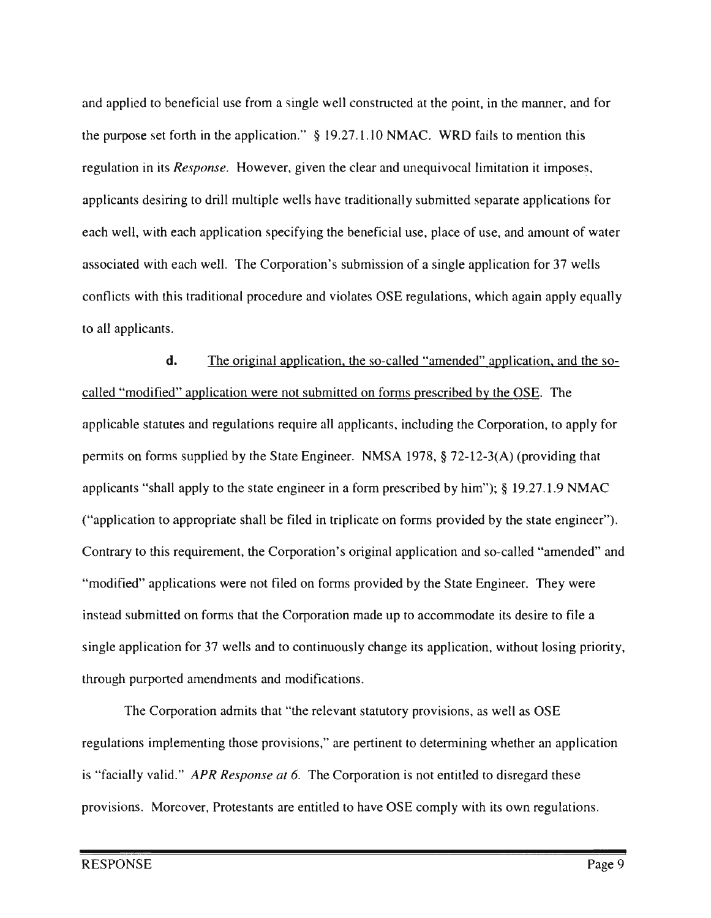and applied to beneficial use from a single well constructed at the point, in the manner, and for the purpose set forth in the application."  $\S$  19.27.1.10 NMAC. WRD fails to mention this regulation in its *Response*. However, given the clear and unequivocal limitation it imposes, applicants desiring to drill multiple wells have traditionally submitted separate applications for each well, with each application specifying the beneficial use, place of use, and amount of water associated with each well. The Corporation's submission of a single application for 37 wells flicts wi<br>Il applic vith this traditional procedure and violates OSE regulations, which again apply equally icants. vi<br>" E<br>all

the application original<br>
end weeks  $\frac{at}{\sqrt{a}}$ li<br>I with the contract of the contract of the contract of the contract of the contract of the contract of the contract of the contract of the contract of the contract of the contract of the contract of the contract of the contr so-called "amended" ap<br>an forms necessibed by the  $\mathbf{d}$ . valid." d.<br><u>d"</u><br>.te: on<br>it<br>n <u>ا</u><br>pli<br>سام ed<br>Moreover, and desert and desert and desert and desert and desert and desert and desert and desert and desert a<br>Moreover, and desert and desert and desert and desert and desert and desert and desert and desert and desert or<br>lic rm<br>,, i <u>re not submitted on forms prescribed by the O</u> escribed by the  $\overline{OS}$ <br>iding the Corporation <u>si</u><br>la<br>dy and statutes and regulations require So: ic<br>I orporation, to<br>3(A) (providi<mark>i</mark> that we have the regulations of the State B<br>n forms supplied by the State B were  $\overline{a}$ NMSA 1978.<br>'  $\overline{a}$ no were icants "shall apply to the state  $\frac{1}{2}$ <br> $\frac{1}{2}$ in a form prescribed by him");  $\S$  19. orr<br>cat ee<br>1s );  $\frac{1}{2}$  19.27.1.9 NMAC<br>by the state engineer").  $\frac{1}{2}$ <br>application, n:<br>led<br>or : s<br>ut, filed in trinlicate on filed in trinlicate on filed in trinlicate on filed in trinlicate.  $\frac{1}{c}$ pl<br> vio<br>1 a s<br>ec io prication to appropriate shall be filed in the<br>trary to this requirement, the Corporation' in cation and so-called "amended" and triplication<br>Period to<br>I" bration's original application and soon<br>on forms provided by the State Engi .. dified" applications were not f on ey<br>io ..<br>se 21989.<br>2078 had submitted on forms that the Corporation made up to accommode<br>2089 had to continuously change its opplies nad<br>y c including to accommodate<br>including its application, v y, provision for 3<sup>1</sup><br>with numerical area  $\overline{\text{o}}$ or<br>bd on<br>tec  $\overline{t}$ si:<br>" nd<br>ano e application for 37 wells and to continuo<br>ugh purported amendments and modificati by .<br>ภา and

etermining whether an application<br>ot entitled to disregard these  $\frac{E}{a}$ egard the the ns own regul ory provisions, as well as corporation, and the corporation of the corporation of the corporation of the corporation of the corporation of the corporation of the corporation of the corporation of the corporation of the corporation of the corporation appear of the Corporation is not entitled to  $\alpha$ <br>*file losing*  $\alpha$  the Corporation is not entitled to  $\alpha$ n is not entitle<br>DSE comply <mark>v</mark> the Engineer.<br>Evant statutor<sub>.</sub> are pertinent sta<br>.  $\frac{1}{2}$ it are Corporation admits that "the<br>is implementing those provision  $\overline{\mathbf{o}}$ d." *APR Response at 6.*<br>preover, Protestants are et dementi<br>E na<br>Fac<br>..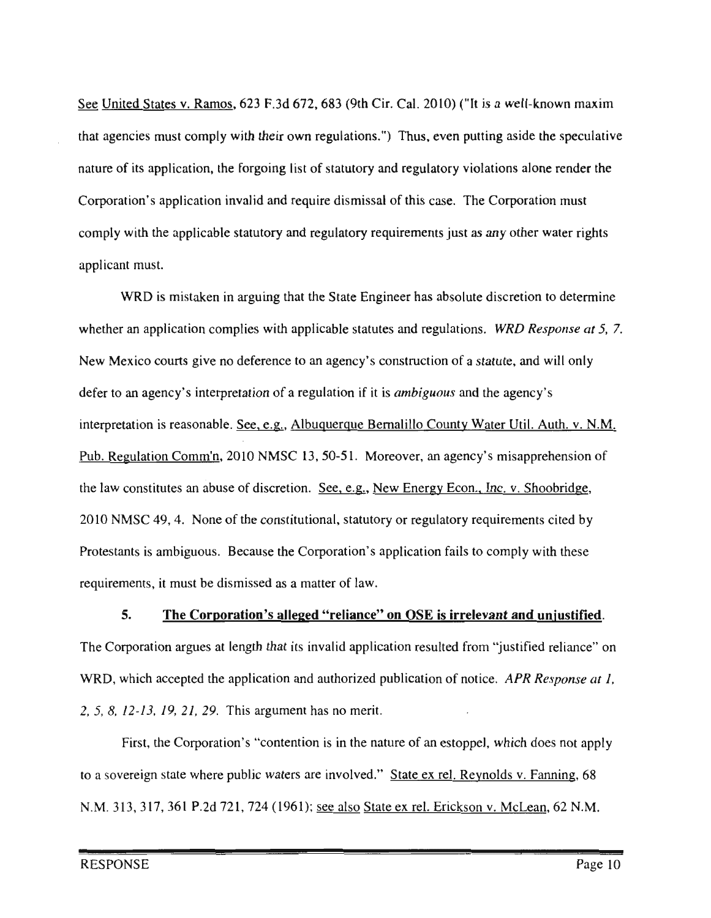See United States v. Ramos, 623 F.3d 672, 683 (9th Cir. Cal. 2010) ("It is a well-known maxim that agencies must comply with their own regulations.") Thus, even putting aside the speculative nature of its application, the forgoing list of statutory and regulatory violations alone render the Corporation's application invalid and require dismissal of this case. The Corporation must comply with the applicable statutory and regulatory requirements just as any other water rights applicant must.

egulations. *WRD Response at 5*, 7. The is mistaken in arguing that the State Engineer has absolute discretion to determ<br>application complies with applicable statutes and regulations. WRD Response at ly<br> alillo County Water Util. Auth. v. N<br>over, an agency's misapprehension cretion. See, e.g., New Energy Econ., Inc. v. Shoobridge, y<br>e and wil<br>ency's er<br>die se County Water Util. Autl er<br>br l, statutory or regulatory requirements cit n t til<br>ap<sub>l</sub> gulatory requiremer<br>ion fails to comply dis<br>V<br>ati ie<br><u>te</u> ui<br>co cation complies with applicable statutes and regulation<br>urts give no deference to an agency's construction of ai<br>ty  $rac{r}{\sqrt{r}}$ c<br>ti i. discretion. NMSC 49, 4. None of the constitutional, statutory or regular<br>stants is ambiguous. Because the Corporation's application a regulation if it is *ar* erque Bernal  $rac{v_1}{v_2}$ statutory Er<br>at ,<br>if i<br>e F Regulation Comm'n, 2010 NMSC 13, 50-51. N<br>aw constitutes an abuse of discretion. <u>See, e.g.</u>, cut<br>n's<br>ny  $\frac{1}{2}$ <br>Bread  $\frac{d}{dx}$ lamissed as a matter of 5.  $\frac{16}{15}$ or discretion.<br>the constitut Co<br>m wi<br>en terpretation oretation is reasonable. See, e.g.  $\frac{d}{s}$ ec<br>ni her an application c aw constitutes an absorption  $C$  49, 4. Non the cy<br>re:<br>C  $\frac{1}{4}$ rements, it m her an a<br>Mexico  $\frac{1}{2}$ to an a is<br>its  $\overline{a}$ 

# e<br>Bemali<br>Bemali <mark>ice</mark><br>inl 5.  $\frac{1}{2}$  C or por ation is alreged

<mark>ged "reliance" on OSE is irrelevant and unjustifie</mark><br>invalid application resulted from "justified reliance" re"<br>e a iu<br>el R Resp statute, from " $\frac{1}{2}$  $\ddot{\phantom{0}}$ .<br>ed publication of ne  $\frac{1}{10}$  $re$ to find the internal dependence of the application and authorized  $\mathbf{i}$ nc<br>it  $h$ <mark>ati</mark><br>en an cx rel.  $\frac{d}{dz}$ .<br>Crickson<br>Crickson<br>Crickson

not ap<br>
<u>ling</u>, 68 313, 317, 361 P.2d 721, 724 (1961); <u>see also State ex rel. Erickson v. McLean</u>, 62 N.M.  $\ddot{\phantom{0}}$  $\overline{\phantom{a}}$ which tate ex rel. Reynole v. isa<br>a<br>a<br>a<br>a<br>a<br>a<br>a<br>a<br>a<br>a<br>a<br>a<br>a<br>a<br> an<br>:<u>x</u> 8,  $12-13$ ,  $19$ ,  $21$ ,  $29$ . This argument has no meri<br>First, the Corporation's "contention is in the r  $\frac{1}{2}$ st, the Corporation's "contention is in the r<br>
ign state where public waters are involved  $\ddot{\phantom{a}}$  $\begin{align} \n\begin{cases}\n3 & 0 \\
1 & 0\n\end{cases} \n\end{align}$ gu<br>on re<br>Ve on  $\ddot{\ }$  $\overline{C}$  $\sim$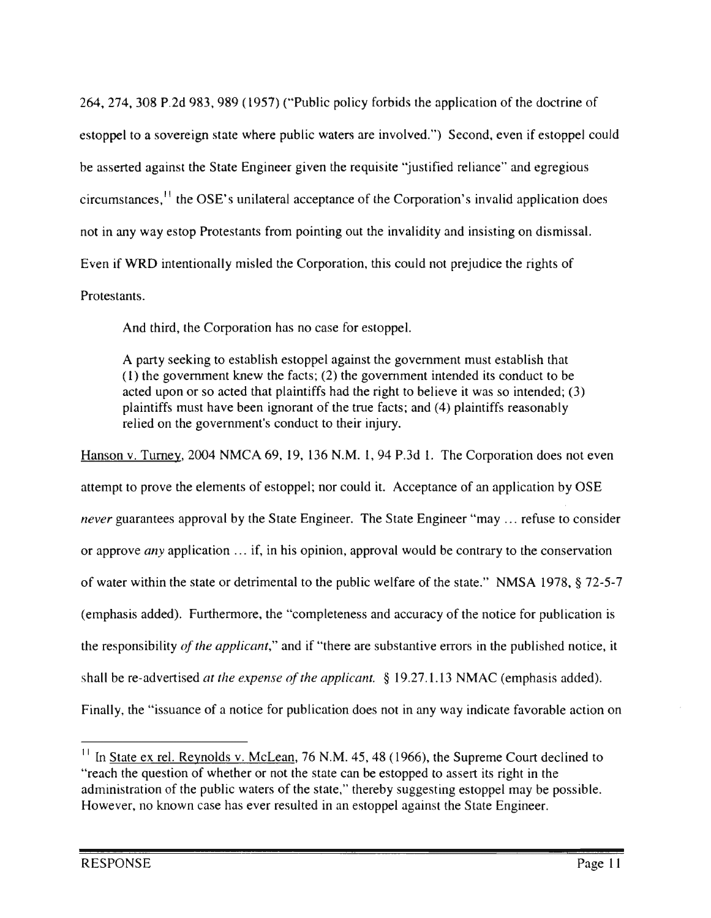264, 274, 308 P.2d 983, 989 (1957) ("Public policy forbids the application of the doctrine of estoppel to a sovereign state where public waters are involved.") Second, even if estoppel could be asserted against the State Engineer given the requisite "justified reliance" and egregious circumstances,<sup>11</sup> the OSE's unilateral acceptance of the Corporation's invalid application does not in any way estop Protestants from pointing out the invalidity and insisting on dismissal. Even if WRD intentionally misled the Corporation, this could not prejudice the rights of

no case for es  $\overline{\text{Conform}}$ d thi estants.<br>And

establish that<br>s conduct to o<br>:d;<br>bl; et<br>nd<br>na  $\frac{1}{\sqrt{2}}$  must the the the or it to believe it was so inte<br>ts; and (4) plaintiffs reas<br>y. ty seeking to establish estoppel against the government r<br>e government knew the facts; (2) the government intende against the govern<br>) the government i elements<br>. pe<br>ge<br>nr  $\mu$  and the true their in stated upon or so acted that plaintiffs has<br>intiffs must have been ignorant of the<br>advantage of the communities conduct to the an<br>lu:<br>, n l<br>sh<br>th re<br>Free<br>S l. the g<br>no<br>h que a Reynolds if fs must had not the gove cx pai<br>th<br>ed piam<br>relied<br>v. Ti ni<br>Al  $\mathbf{I}_{\alpha}$ ac<br>.

e<sup>v</sup> d it. Acceptance of an application by OSI<br>The State Engineer "may refuse to cons no at.  $\frac{72}{10}$  $\frac{1}{1}$ of an application b<br>er "may ... refuse to on, approval would be contrary to the cons  $\mathsf{BA}(\mathsf{I9})$ bl<br>ed  $\ddot{\phantom{0}}$  $\text{Re}$ <sub>d</sub>  $\frac{1}{p}$ sł<br>as bes not in any way indicate favora<br> l<br>...  $\theta$ . The Corporation  $\frac{1}{100}$ <br>ce fo  $\frac{1}{2}$  in the puble it.  $\mathsf{P}$  $\overline{ }$ 1.13 NMAC (en tts<br>po  $\mathsf{state}$ ." fare of the sta accuracy of th stantive errors NI<br>y i ac<br>ve  $\mathbf{r}$  $\frac{1}{2}$ ,  $\frac{1}{2}$ Figure 1.<br>
Engineer. The State<br>
ation ... if, in his opinion, approval v  $\frac{1}{\sqrt{2}}$  and it states are substituted.  $\frac{1}{2}$  19  $\overline{a}$ to the public  $\frac{1}{2}$ ere are  $\frac{N}{r}$ the or definitental to the p<br>rthermore, the "complete io ۔<br>ام  $E_{\text{eq}}$ o:<br>Li *at the expense of th*<br>of a notice for publ rened on the government's control.<br>
<u>Furney</u>, 2004 NMCA 69<br>
and to prove the elements of est and  $'$  application ... if, in ithin the state or detrime ici<br>...<br>.. nc<br>Ii advertised at the  $e$ .  $\overline{e}$ any sibility *of the*  $\frac{1}{2}$ antee adde  $\overline{\phantom{a}}$ to pi ui<br>.  $\epsilon$ lly, the  $\frac{1}{2}$ ipt to<br>r gua sta<br>prov ater<sup>y</sup> phasis<br>espoi be restores  $\frac{1}{2}$ 

in

that its violation of the supplicate favorable<br>to do assert its right in the opped to assert its right in th scit its right is<br>estonnel may known case has ever resulted in an estoppel against the the question of whether or not the state can be estopped to<br>stration of the public waters of the state," thereby suggest<br>er, no known case has ever resulted in an estoppel agains ..<br>... consider<br>ervation<br>to 1978, publication<br>
1978, publication<br>
1978, publication<br>
1978, publication<br>
1978, publication<br>
1978, publication<br>
1978, publication<br>
1978, publication<br>
1978, publication<br>
1978, publication<br>
1978, publication<br>
1978, publica  $\frac{7}{h}$ he<br>Ite  $\frac{10}{10}$ ate ex re<br>he ques<br>tration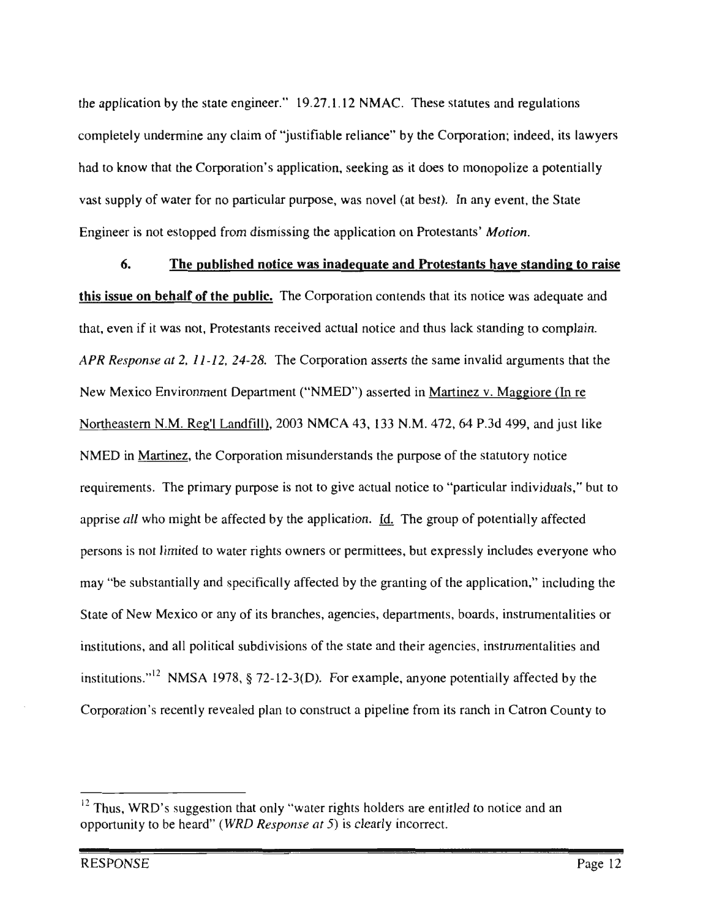the application by the state engineer." 19.27.1.12 NMAC. These statutes and regulations completely undermine any claim of "justifiable reliance" by the Corporation; indeed, its lawyers had to know that the Corporation's application, seeking as it does to monopolize a potentially vast supply of water for no particular purpose, was novel (at best). In any event, the State Engineer is not estopped from dismissing the application on Protestants' Motion.

The published notice was inadequate and Protestants have standing to raise 6. sue on behalf of the public. The Corporation contends that its notice was adequate an<br>ven if it was not. Protestants received actual notice and thus lack standing to complain re<br>the<br>are ice<br>In<br>: <mark>is</mark><br>iat <u>f t</u><br>, F<br>, , institutions.<br>"<br>" 12  $\frac{3}{5}$  r even if it was not, Protestants received act to complain<br>uments that all Corporation asserts the same invalid arguments that t Response at 2, 11-12, 24-28. ora<br>IE Corporation asserts the same invalid arguments that the might correct limit ("NMED") asserted in <u>Martinez v. Maggiore (In re</u> to en<br>En<br>H nent Departm ew <mark>N</mark><br>orthe 11.11.11.12 11.11.1<sub>19</sub> <u>1010</u><br>12, 64 P.3d 499, and ju and <u>fill</u>, 2003  $B$  NMCA 43, 133 N ortheastern N.M. Reg'l Landfill), 2003 NMCA 43, 133 N<br>MED in <u>Martinez</u>, the Corporation misunderstands the pr  $\mathbf{k}$ or<br>th<br>par  $\frac{2}{3}$ <br>be of the statutory notice ers<br>gi 'y<br>di or<br>se  $\frac{d}{dx}$  and  $\frac{d}{dx}$  is the content of the  $\frac{d}{dx}$  is by rights. The group of potentially affected equirements. The primpu<br><sup>:</sup>ec iol<br>bra o<br>d o<br>Sss prise all who might be affected by ication. <u>Id.</u> The gr ll<sub>.</sub><br>es fee<br>ery be<br>o a. In all the group of potentially affected<br>mittees, but expressly includes everyone v  $es$ to ersons is not limited to water rights own<br>av "be substantially and specifically affe is  $\mathbf{u}$ nn<br>:<br>:<br>: ally affected ay "be substantially and specifical<br>tate of New Mexico or any of its b of the applica g n," incl<mark>i</mark><br>rument: of New Mexico or any of its branches, agencies, departments, boards, instrumentalities<br>utions, and all political subdivisions of the state and their agencies, instrumentalities and ch<br><br> at<br>st any c<br>itical s nc visions of the state and their agencies, instrumentalities<br>1-12-3(D). For example, anyone potentially affected lei<br>fe enti<br>Ent te and th<br>cample, on<br>om le. utions."<sup>12</sup> NMSA 1978, s<br>oration's recently reveale  $1978, § 72-12-3(D)$ invalid behind the state of the contract of the contract of the contract of the contract of the contract of the contract of the contract of the contract of the contract of the contract of the contract of the contract of th ro<br>ru P.3d  $\mathbf{y}$  t pipeline from its ranch in<br> ar<br>İ atro<br>1 instrumentalities in the second term in the second term in the second term in the second term in the second term in the second term in the second term in the second term in the second term in the second term in the second arguments

County

rater rights holders are entitled to notice and an opportunity to be heard" (WRD Response at 5) is clearly incorrect. —<br>thet only st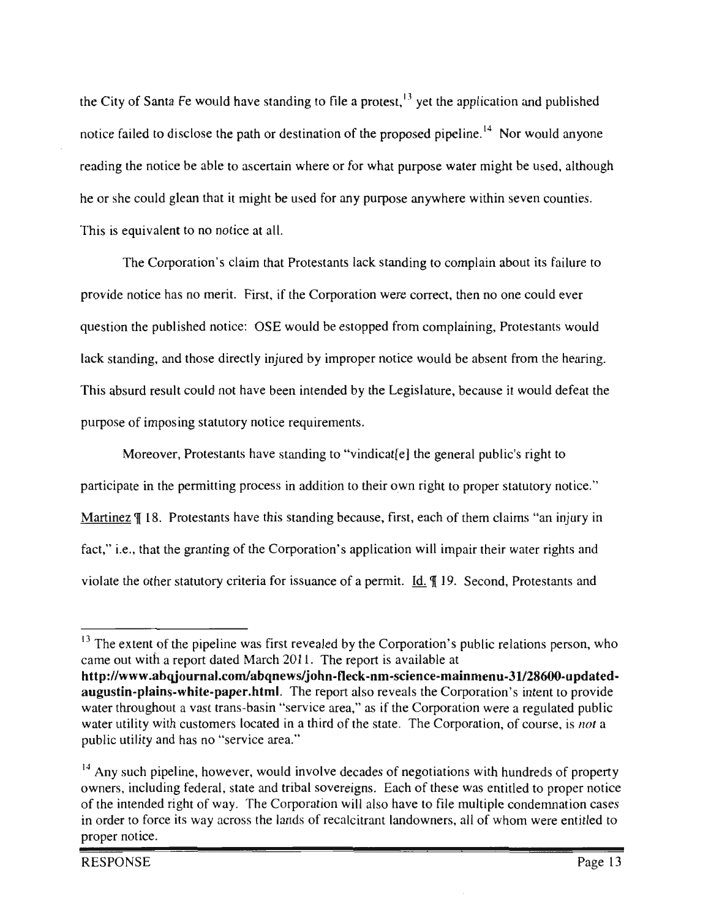the City of Santa Fe would have standing to file a protest,<sup>13</sup> yet the application and published notice failed to disclose the path or destination of the proposed pipeline.<sup>14</sup> Nor would anyone reading the notice be able to ascertain where or for what purpose water might be used, although he or she could glean that it might be used for any purpose anywhere within seven counties. This is equivalent to no notice at all.

The Corporation's claim that Protestants lack standing to complain about its failure to provide notice has no merit. First, if the Corporation were correct, then no one could e<br>curetion the public of potice: OSE would be estamed from complaining. Protestants on were correct, then no<br>pped from complaining, re<br>ro ild n<br>n rit<br>bii<br>dir<br>at<br>tar  $\overline{ }$ estion the estants<br>om the h ned notice: O the published in<br>nding, and those  $\frac{1}{k}$  ste es.<br>y inj n<br>la er<br>, result in the use of the use of the use of the use of the use of the use of the use of the use of the use of the use of the use of the use of the use of the use of the use of the use of the use of the use of the use of the en<br>se the standing, and those directly hijdred by improper  $\frac{1}{2}$ <br>t tl  $\ddot{\phantom{0}}$ and  $e_{\xi}$ le<br>ne atu<br>I or<br>3 Protestants the countries could  $\frac{1}{2}$ i<br>C ن<br>Sina stal wa<br>Wa iotice<br>. i<br>Statutory<br>Statutory of in<br>More way.

 $\ddot{ }$ s "an injury inter<br>ter rights and on will impair their water rights and<br>t. <u>Id.</u> ¶ 19. Second, Protestants and right to itory no air their water right<br>Second Protestant ave standing to "vindicattel" the general publication to their own right to proper cl<br>ein  $\frac{P}{h}$  $\frac{a}{s}$ dicat[e] the  $\frac{1}{2}$ cl<br>II s have this standing because, first rotestants have standing to "vinding"<br>traiting process in addition to the the<br>us<br>pli tutory criteria for issuance of a permitted as the report also as the report also as  $\frac{1}{2}$ . Corporation s  $\lg$  of the http://www.abpar.com/science-mainmenu-31/28600-updated-mainmenu-31<br>http://www.abpar.com/science-main<br>bosses/  $t$ <br> $\cos$ <br> $\cos$ n:<br>ar ranti<mark>i</mark> 18. Protes .u :<br>: rticipate in the p  $\alpha$  i.e.,  $\alpha$  $\frac{1}{2}$ e.,<br>che cip<br><u>ine</u><br>. .  $\ddot{\phantom{1}}$ across lands<br>E  $\overline{a}$ rt,<br>bla

<sup>,</sup> v<br>lat<br>ovi ro<br>Dr extent of the pipeline was first revealed by the Corporation's public relations per The extent of the pipeline was first revealed by the Corporation's public relations per<br>the out with a report dated March 2011. The report is available at<br>tp://www.abqjournal.com/abqnews/john-fleck-nm-science-mainmenu-31/2 //www.abqjournal.com/abqnews/john-fleck-nm-science-mainmenu-31/28600-<br>stin-plains-white-paper.html. The report also reveals the Corporation's intent to<br>r throughout a vast trans-basin "service area," as if the Corporation  $200$  is  $\frac{1}{2}$ io:  $P<sub>1</sub>$  Corporation, of co **n-plains-white-paper.html**. The report also reveals the Corporation<br>roughout a vast trans-basin "service area," as if the Corporation<br>ility with customers located in a third of the state. The Corpor e extent of the pipeline was first revealed by the Corporatio<br>out with a report dated March 2011. The report is available ie<br>. ter throughout a vast trans-basin "service area," as<br>ter utility with customers located in a third of the s<br>blic utility and has no "service area." o<br>c irs<br>ch vast trans-basm<br>istomers located<br>is no "service are s<sup>i</sup> te<br>**co**<br>ap<br>ers —<br>pel<br>al<br>al pi<br>or<br>hit<br>va  $\frac{1}{\pi}$ nt biy<br>y<br>:y tone um  $\frac{1}{\pi}$ g

<sup>็</sup>น<br>y<br>rs rility and has no "service area."<br>uch pipeline, however, would involve decade<br>including federal, state and tribal sovereigns. f negotiations with hundre<br>to for these was entitled to<br>note to file multiple cond uch pipeline, however, would involve decades of negotiations with hundreds of<br>including federal, state and tribal sovereigns. Each of these was entitled to proj<br>tended right of way. The Corporation will also have to file m A<br>n<br>th owners, including federal, state and tribal sovereigns. Each of these was entitled to proper notice the intended right of way. The Conder to force its way across the la proper notice.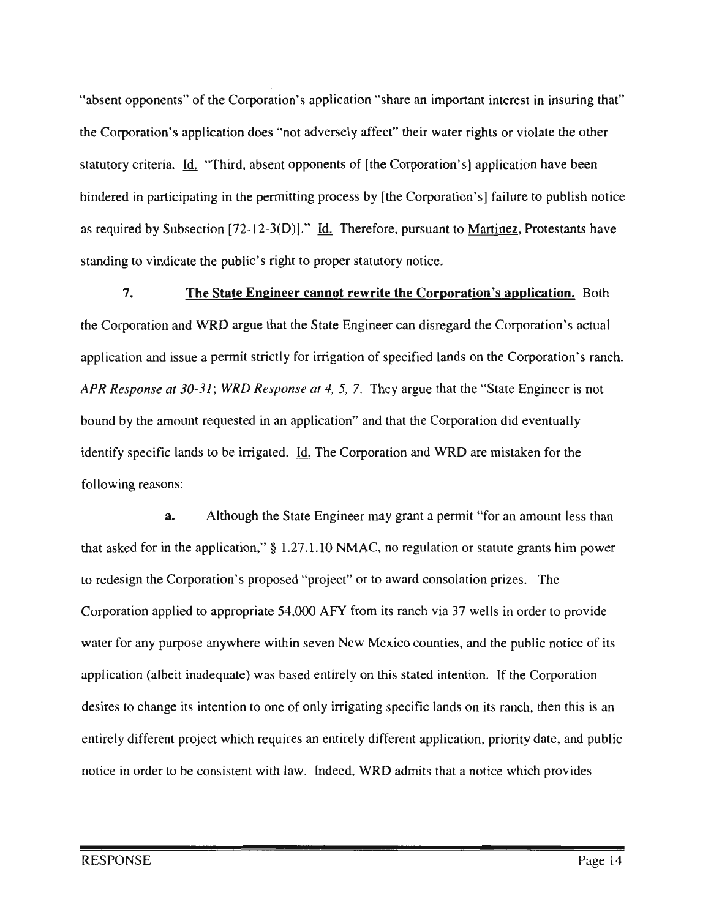"absent opponents" of the Corporation's application "share an important interest in insuring that" the Corporation's application does "not adversely affect" their water rights or violate the other statutory criteria. Id. "Third, absent opponents of [the Corporation's] application have been hindered in participating in the permitting process by [the Corporation's] failure to publish notice as required by Subsection  $[72-12-3(D)]$ ." Id. Therefore, pursuant to Martinez, Protestants have standing to vindicate the public's right to proper statutory notice.

7. State Engineer cannot rewrite the Corporation's application. Both<br>BD same that the State Engineer are dispersed the Corporation's actu entirely  $\frac{1}{2}$ e <u>I</u><br>rg  $rac{c\epsilon}{c}$ ot rewrite the Corporation's<br>e Engineer can disregard the C or<br>n' tu<br>ra rd the Corporation's<br>s on the Corporatio for and issue a permit ctly fo<mark>r irrigation</mark> of r<br>:<br>: sponse at 4, 5, 7. They argue that the "State Engineer is no ta<br>ta  $rac{5}{10}$ nse at 30-31;<br><sup>ie amount rec</sup> ne State Eng<br>
ration did ev  $te$ e<br>ci an<br>Dol eq<br>to n did ev<br>mistaker bunt requested in an application" and that<br>lands to be irrigated. <u>Id.</u> The Corporation pl<br><u>d.</u> per<br>Distri  $\sum_{i=1}^{n} a_i$  $\overline{a}$ easons:  $\overline{a}$ 

 $te$ .<br>m icant a nermit or :<br>.tu the for  $\mathsf{A}$ zir<br>N  $a<sub>z</sub>$ e at State Finitely interesting the contract of  $\S$  $1.10$  NMAC, no re ir<br>hir ior in the apple<br>the Corporation .1.10 NMAC<br>project" or t ra or<br>ati<br>7 ,  $\sum$ s propos<br>opriate vard consolation prizes. The oi<br>ie this  $\frac{1}{2}$ section and the projection of the set of the set of the set of the set of the set of the set of the set of the set of the set of the set of the set of the set of the set of the set of the set of the set of the se appropriate 54,000 AFY from its ranch via 37 wells  $\frac{1}{\sqrt{2}}$  $\mathbf{a}$ i em<br>N ny purpose anywhere wit rp<br>it co counties, and the public notice of<br>stated intention. If the Corporation N<br>re the<br>If se ie<br>e) permit or whexicos<br>d entirely on this st (albeit inadequate) was based tion. If the Corpo ن<br>نظ ing spe ranch, then t in the Intention to one of or irr<br>. o<br>ic is<br>pu<br>s  $\frac{1}{2}$ r<br>fe e, a<br>'OV quires an entirely different application, priority or<br>ith law. Indeed. WRD admits that a notice which e<br>. pri<br>ce nci<br>Corporations<br>Corporations  $\cdot$  P then rder to be consistent with . Indeed, WRD admits that a  $\ddot{\phantom{0}}$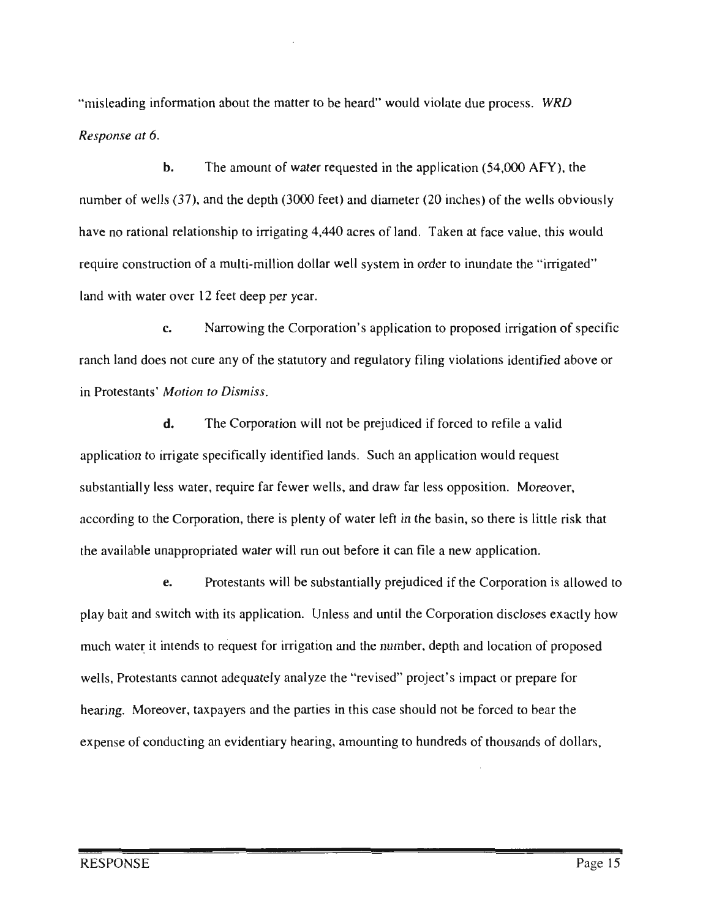"misleading information about the matter to be heard" would violate due process. WRD Response at 6.

 $h.$ The amount of water requested in the application (54,000 AFY), the number of wells (37), and the depth (3000 feet) and diameter (20 inches) of the wells obviously have no rational relationship to irrigating 4,440 acres of land. Taken at face value, this would require construction of a multi-million dollar well system in order to inundate the "irrigated" over 12 feet deep per yea<br>Marrowing the Cor

per year.<br>the Corporation's application to proposed irrigation of specific ing violations identified e:<br>n n i<br>.. water,  $\ddot{\phantom{a}}$  $\frac{a}{2}$ propriate the property of the set of the set of the set of the set of the set of the set of the set of the set of the set of the set of the set of the set of the set of the set of the set of the set of the set of the set o not cure any of the statute<br>fotion to Dismiss. w<br>'c re<br>te

th<br> cure t. is, and draw far less opposition. Moreover<br>of water left in the basin, so there is little i statures.<br>Torporation will not be prejudiced if forced to refile a e<sup>l</sup> ol<br>ior  $\overline{a}$ w appli ece<br>io: pe<br>1, n<br>pl fewer wells, and draw far les exportance, there is plenty or water left in the depression of the interest and the exponential prejudices. dio<br>dio Such a ot<br>an or<br>ut<br>sta ifi<br>er request additionally interest.<br>igate specifically is water, require far Irrigation and the component of the component of the state of the state  $\frac{1}{2}$  $\frac{1}{2}$ and the  $\mathbf{d}$ .

we<br>y l ocation of propose irs<br>. regulatory<br>regulatory<br>tory r<br>d<br>ati dentified in the set of the set of the set of the set of the set of the set of the set of the set of the set of the set of the set of the set of the set of the set of the set of the set of the set of the set of the set of pred if the Cory<br>Corporation d oc<br>t the parties in this case should not be force an evidentiary hearing, amounting to hundreds of tho d until the Corpora depth a<br>ect's in jed<br>ld ln<br>I ran our october and<br>e substantially prej  $\overline{\phantom{a}}$ mı<br>... an its approaches. Since the same ot adequately analyze the "rev s d<br>un les<br>Lai in<br>
<sub>c</sub>, a until 1999<br>Liste strategist om der strategist strategist om der strategist strategist strategist strategist strategist s<br>Liste strategist strategist strategist strategist strategist strategist strategist strategist strateg cation. ga<br>aly ar<br>:ai  $\mathbf{w}$ ta<br>" pay<mark>er</mark>s r<br>E tch with<br>ands to er  $\ddot{\phantom{0}}$ ei<br>te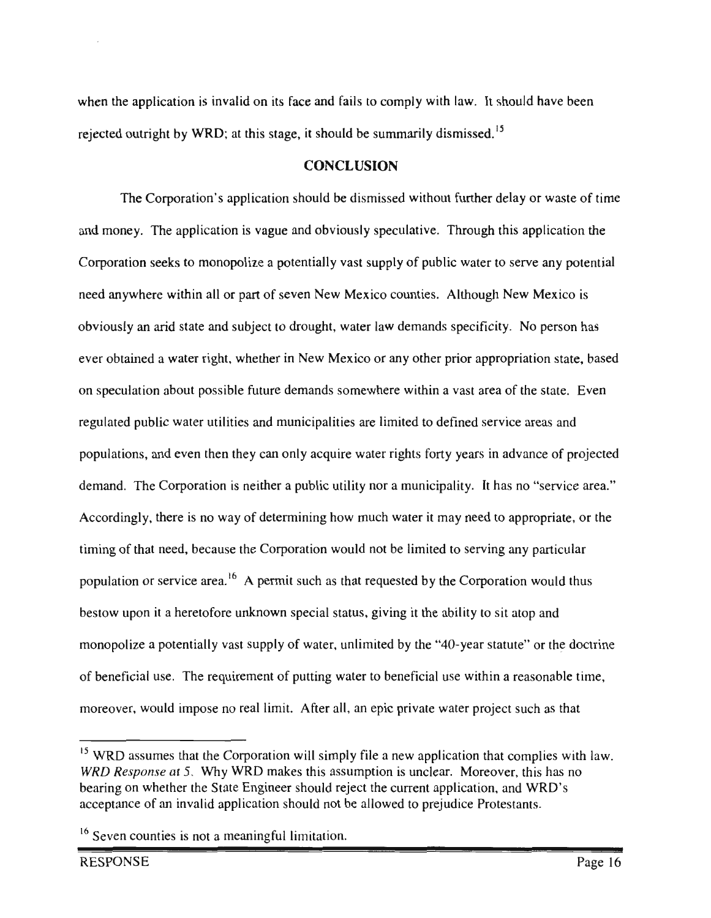when the application is invalid on its face and fails to comply with law. It should have been rejected outright by WRD; at this stage, it should be summarily dismissed.<sup>15</sup>

## **CONCLUSION**

The Corporation's application should be dismissed without further delay or waste of time and money. The application is vague and obviously speculative. Through this application the Corporation seeks to monopolize a potentially vast supply of public water to serve any potential eed anywhere within all or part of seven New Mexico counties. Although New Mexico<br>wisualy an arid state and subject to drought, water law demands aposificity. No negotial un<br>us al<br>ar f s<br>tc v Mexico counties. Although I<br>water law demands specificity ou<br>de tho<br>ec as .<br>b .<br>ic  $\frac{1}{1}$ vo<br>Vo<br>atio so<br>ta n<br>ed Eagn, water haw definance<br>New Mexico or any other assumes ev<br>C or appropriation state, ba btained a water right, whether in Ne<br>culation about possible future demaarid there demands somewhere when<br>I municipalities are limited in<br>b d st area of the state. Even la<br>ci on speculation about possible f<br>c water utilities ublic water utilities and municipalities are limited to defined service areas an<br>and even then they can only acquire water rights forty years in advance of t es<br>ie egulated p<br> ation<br>ation w. populations, and even then they can<br>demand. The Corporation is neither nd<br>Co and even the ire water rights forty years in advance of projected<br>itility not a municipality. It has no "service area nd<br>ub orty years in advance of projec<br>cipality. It has no "service are uti n<br>Corporation<br>Corporation determine<br>Vat na<br>to<br>ng .<br>di drond to appropriate, or the Ad<br>ir nere is no way of determining how much water it n  $g$ ly, es<br>Se need, because the Corporation would not be limited iat<br>or cu<br>. f tl re<br>w n<br>in  $\ddot{\phantom{0}}$ A permit such as that requested by the Corpora<br>nknown special status, giving it the ability to si  $\frac{1}{2}$  ation or set re: u mus giving it the ability to sit atop and  $\frac{1}{2}$ pon it a heretofore unknown spec g it the ability to sit atop and<br>by the "40-year statute" or the doctri ne<br>enlist<br>al to a potentially vast supply of way 5<br>ni pc<br>Pel liz<br>ici aly of wa<br>t of put<mark>t</mark> specified by the 40-year statute or the doctring-<br>to beneficial use within a reasonable time<br>epic private water project such as that و.<br>.. the  $\overline{a}$ cial<br>r, wc w<br>all er a project the require<br>and impose no re  $\frac{1}{2}$ th<br>a mit. After all, an epic private water project suc

such

 $\overline{\phantom{a}}$ 

person it is has no<br>this has no Why WRD makes this assumption is unclear. Moreover, this has<br>State Engineer should reject the current application, and WRD's ether the State Engineer should reject the current application, and W<br>an invalid application should not be allowed to prejudice Protestants<br> a proje<br>ion that  $\frac{1}{1}$ ca ion will simply file a new apple<br>nakes this assumption is unclea<br>neer should reject the current a ev<br>is onse at 5. Why WRD makes this assumption is<br>whether the State Engineer should reject the cur<br>of an invalid application should not be allowed  $\frac{1}{\pi}$  are that the Corporation of  $\frac{5}{\pi}$  M/h w W/R D me -<br>rp<br>/F has Wed<br>assure

 $16$  Seven counties is not a meaningful limitation.